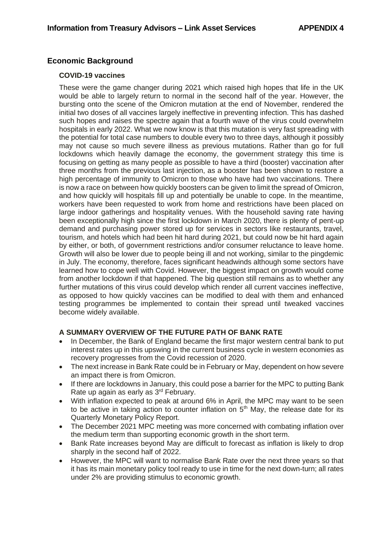## **Economic Background**

## **COVID-19 vaccines**

These were the game changer during 2021 which raised high hopes that life in the UK would be able to largely return to normal in the second half of the year. However, the bursting onto the scene of the Omicron mutation at the end of November, rendered the initial two doses of all vaccines largely ineffective in preventing infection. This has dashed such hopes and raises the spectre again that a fourth wave of the virus could overwhelm hospitals in early 2022. What we now know is that this mutation is very fast spreading with the potential for total case numbers to double every two to three days, although it possibly may not cause so much severe illness as previous mutations. Rather than go for full lockdowns which heavily damage the economy, the government strategy this time is focusing on getting as many people as possible to have a third (booster) vaccination after three months from the previous last injection, as a booster has been shown to restore a high percentage of immunity to Omicron to those who have had two vaccinations. There is now a race on between how quickly boosters can be given to limit the spread of Omicron, and how quickly will hospitals fill up and potentially be unable to cope. In the meantime, workers have been requested to work from home and restrictions have been placed on large indoor gatherings and hospitality venues. With the household saving rate having been exceptionally high since the first lockdown in March 2020, there is plenty of pent-up demand and purchasing power stored up for services in sectors like restaurants, travel, tourism, and hotels which had been hit hard during 2021, but could now be hit hard again by either, or both, of government restrictions and/or consumer reluctance to leave home. Growth will also be lower due to people being ill and not working, similar to the pingdemic in July. The economy, therefore, faces significant headwinds although some sectors have learned how to cope well with Covid. However, the biggest impact on growth would come from another lockdown if that happened. The big question still remains as to whether any further mutations of this virus could develop which render all current vaccines ineffective, as opposed to how quickly vaccines can be modified to deal with them and enhanced testing programmes be implemented to contain their spread until tweaked vaccines become widely available.

## **A SUMMARY OVERVIEW OF THE FUTURE PATH OF BANK RATE**

- In December, the Bank of England became the first major western central bank to put interest rates up in this upswing in the current business cycle in western economies as recovery progresses from the Covid recession of 2020.
- The next increase in Bank Rate could be in February or May, dependent on how severe an impact there is from Omicron.
- If there are lockdowns in January, this could pose a barrier for the MPC to putting Bank Rate up again as early as 3<sup>rd</sup> February.
- With inflation expected to peak at around 6% in April, the MPC may want to be seen to be active in taking action to counter inflation on  $5<sup>th</sup>$  May, the release date for its Quarterly Monetary Policy Report.
- The December 2021 MPC meeting was more concerned with combating inflation over the medium term than supporting economic growth in the short term.
- Bank Rate increases beyond May are difficult to forecast as inflation is likely to drop sharply in the second half of 2022.
- However, the MPC will want to normalise Bank Rate over the next three years so that it has its main monetary policy tool ready to use in time for the next down-turn; all rates under 2% are providing stimulus to economic growth.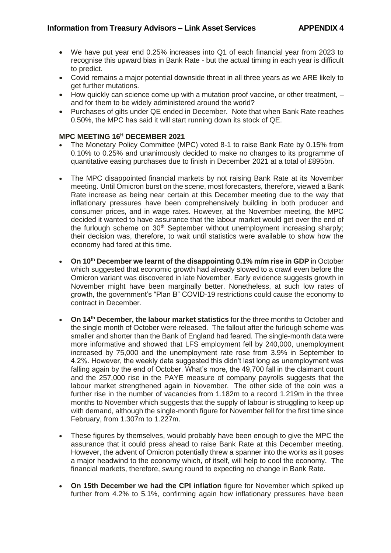- We have put year end 0.25% increases into Q1 of each financial year from 2023 to recognise this upward bias in Bank Rate - but the actual timing in each year is difficult to predict.
- Covid remains a major potential downside threat in all three years as we ARE likely to get further mutations.
- How quickly can science come up with a mutation proof vaccine, or other treatment, and for them to be widely administered around the world?
- Purchases of gilts under QE ended in December. Note that when Bank Rate reaches 0.50%, the MPC has said it will start running down its stock of QE.

## **MPC MEETING 16<sup>H</sup> DECEMBER 2021**

- The Monetary Policy Committee (MPC) voted 8-1 to raise Bank Rate by 0.15% from 0.10% to 0.25% and unanimously decided to make no changes to its programme of quantitative easing purchases due to finish in December 2021 at a total of £895bn.
- The MPC disappointed financial markets by not raising Bank Rate at its November meeting. Until Omicron burst on the scene, most forecasters, therefore, viewed a Bank Rate increase as being near certain at this December meeting due to the way that inflationary pressures have been comprehensively building in both producer and consumer prices, and in wage rates. However, at the November meeting, the MPC decided it wanted to have assurance that the labour market would get over the end of the furlough scheme on  $30<sup>th</sup>$  September without unemployment increasing sharply; their decision was, therefore, to wait until statistics were available to show how the economy had fared at this time.
- **On 10th December we learnt of the disappointing 0.1% m/m rise in GDP** in October which suggested that economic growth had already slowed to a crawl even before the Omicron variant was discovered in late November. Early evidence suggests growth in November might have been marginally better. Nonetheless, at such low rates of growth, the government's "Plan B" COVID-19 restrictions could cause the economy to contract in December.
- **On 14th December, the labour market statistics** for the three months to October and the single month of October were released. The fallout after the furlough scheme was smaller and shorter than the Bank of England had feared. The single-month data were more informative and showed that LFS employment fell by 240,000, unemployment increased by 75,000 and the unemployment rate rose from 3.9% in September to 4.2%. However, the weekly data suggested this didn't last long as unemployment was falling again by the end of October. What's more, the 49,700 fall in the claimant count and the 257,000 rise in the PAYE measure of company payrolls suggests that the labour market strengthened again in November. The other side of the coin was a further rise in the number of vacancies from 1.182m to a record 1.219m in the three months to November which suggests that the supply of labour is struggling to keep up with demand, although the single-month figure for November fell for the first time since February, from 1.307m to 1.227m.
- These figures by themselves, would probably have been enough to give the MPC the assurance that it could press ahead to raise Bank Rate at this December meeting. However, the advent of Omicron potentially threw a spanner into the works as it poses a major headwind to the economy which, of itself, will help to cool the economy. The financial markets, therefore, swung round to expecting no change in Bank Rate.
- **On 15th December we had the CPI inflation** figure for November which spiked up further from 4.2% to 5.1%, confirming again how inflationary pressures have been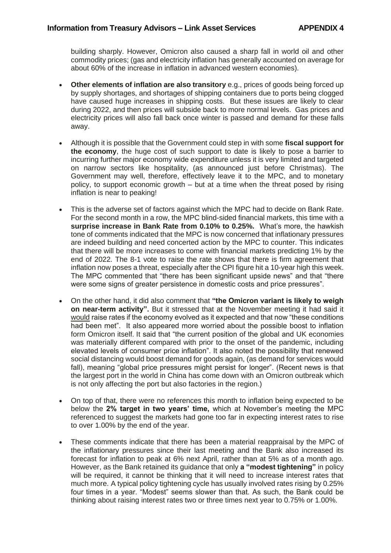building sharply. However, Omicron also caused a sharp fall in world oil and other commodity prices; (gas and electricity inflation has generally accounted on average for about 60% of the increase in inflation in advanced western economies).

- **Other elements of inflation are also transitory** e.g., prices of goods being forced up by supply shortages, and shortages of shipping containers due to ports being clogged have caused huge increases in shipping costs. But these issues are likely to clear during 2022, and then prices will subside back to more normal levels. Gas prices and electricity prices will also fall back once winter is passed and demand for these falls away.
- Although it is possible that the Government could step in with some **fiscal support for the economy**, the huge cost of such support to date is likely to pose a barrier to incurring further major economy wide expenditure unless it is very limited and targeted on narrow sectors like hospitality, (as announced just before Christmas). The Government may well, therefore, effectively leave it to the MPC, and to monetary policy, to support economic growth – but at a time when the threat posed by rising inflation is near to peaking!
- This is the adverse set of factors against which the MPC had to decide on Bank Rate. For the second month in a row, the MPC blind-sided financial markets, this time with a **surprise increase in Bank Rate from 0.10% to 0.25%.** What's more, the hawkish tone of comments indicated that the MPC is now concerned that inflationary pressures are indeed building and need concerted action by the MPC to counter. This indicates that there will be more increases to come with financial markets predicting 1% by the end of 2022. The 8-1 vote to raise the rate shows that there is firm agreement that inflation now poses a threat, especially after the CPI figure hit a 10-year high this week. The MPC commented that "there has been significant upside news" and that "there were some signs of greater persistence in domestic costs and price pressures".
- On the other hand, it did also comment that **"the Omicron variant is likely to weigh on near-term activity".** But it stressed that at the November meeting it had said it would raise rates if the economy evolved as it expected and that now "these conditions had been met". It also appeared more worried about the possible boost to inflation form Omicron itself. It said that "the current position of the global and UK economies was materially different compared with prior to the onset of the pandemic, including elevated levels of consumer price inflation". It also noted the possibility that renewed social distancing would boost demand for goods again, (as demand for services would fall), meaning "global price pressures might persist for longer". (Recent news is that the largest port in the world in China has come down with an Omicron outbreak which is not only affecting the port but also factories in the region.)
- On top of that, there were no references this month to inflation being expected to be below the **2% target in two years' time,** which at November's meeting the MPC referenced to suggest the markets had gone too far in expecting interest rates to rise to over 1.00% by the end of the year.
- These comments indicate that there has been a material reappraisal by the MPC of the inflationary pressures since their last meeting and the Bank also increased its forecast for inflation to peak at 6% next April, rather than at 5% as of a month ago. However, as the Bank retained its guidance that only **a "modest tightening"** in policy will be required, it cannot be thinking that it will need to increase interest rates that much more. A typical policy tightening cycle has usually involved rates rising by 0.25% four times in a year. "Modest" seems slower than that. As such, the Bank could be thinking about raising interest rates two or three times next year to 0.75% or 1.00%.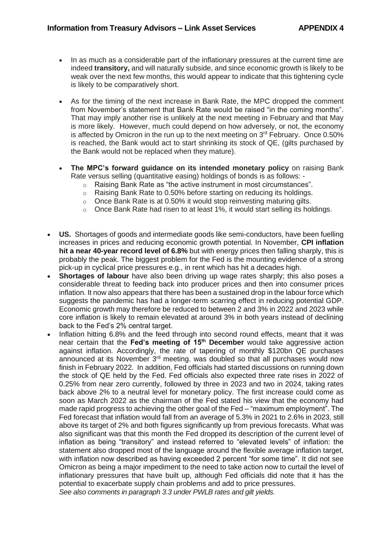- In as much as a considerable part of the inflationary pressures at the current time are indeed **transitory,** and will naturally subside, and since economic growth is likely to be weak over the next few months, this would appear to indicate that this tightening cycle is likely to be comparatively short.
- As for the timing of the next increase in Bank Rate, the MPC dropped the comment from November's statement that Bank Rate would be raised "in the coming months". That may imply another rise is unlikely at the next meeting in February and that May is more likely. However, much could depend on how adversely, or not, the economy is affected by Omicron in the run up to the next meeting on  $3<sup>rd</sup>$  February. Once 0.50% is reached, the Bank would act to start shrinking its stock of QE, (gilts purchased by the Bank would not be replaced when they mature).
- **The MPC's forward guidance on its intended monetary policy** on raising Bank Rate versus selling (quantitative easing) holdings of bonds is as follows:
	- o Raising Bank Rate as "the active instrument in most circumstances".
	- o Raising Bank Rate to 0.50% before starting on reducing its holdings.
	- $\circ$  Once Bank Rate is at 0.50% it would stop reinvesting maturing gilts.
	- o Once Bank Rate had risen to at least 1%, it would start selling its holdings.
- **US.** Shortages of goods and intermediate goods like semi-conductors, have been fuelling increases in prices and reducing economic growth potential. In November, **CPI inflation hit a near 40-year record level of 6.8%** but with energy prices then falling sharply, this is probably the peak. The biggest problem for the Fed is the mounting evidence of a strong pick-up in cyclical price pressures e.g., in rent which has hit a decades high.
- **Shortages of labour** have also been driving up wage rates sharply; this also poses a considerable threat to feeding back into producer prices and then into consumer prices inflation. It now also appears that there has been a sustained drop in the labour force which suggests the pandemic has had a longer-term scarring effect in reducing potential GDP. Economic growth may therefore be reduced to between 2 and 3% in 2022 and 2023 while core inflation is likely to remain elevated at around 3% in both years instead of declining back to the Fed's 2% central target.
- Inflation hitting 6.8% and the feed through into second round effects, meant that it was near certain that the **Fed's meeting of 15th December** would take aggressive action against inflation. Accordingly, the rate of tapering of monthly \$120bn QE purchases announced at its November 3rd meeting. was doubled so that all purchases would now finish in February 2022. In addition, Fed officials had started discussions on running down the stock of QE held by the Fed. Fed officials also expected three rate rises in 2022 of 0.25% from near zero currently, followed by three in 2023 and two in 2024, taking rates back above 2% to a neutral level for monetary policy. The first increase could come as soon as March 2022 as the chairman of the Fed stated his view that the economy had made rapid progress to achieving the other goal of the Fed – "maximum employment". The Fed forecast that inflation would fall from an average of 5.3% in 2021 to 2.6% in 2023, still above its target of 2% and both figures significantly up from previous forecasts. What was also significant was that this month the Fed dropped its description of the current level of inflation as being "transitory" and instead referred to "elevated levels" of inflation: the statement also dropped most of the language around the flexible average inflation target, with inflation now described as having exceeded 2 percent "for some time". It did not see Omicron as being a major impediment to the need to take action now to curtail the level of inflationary pressures that have built up, although Fed officials did note that it has the potential to exacerbate supply chain problems and add to price pressures. *See also comments in paragraph 3.3 under PWLB rates and gilt yields.*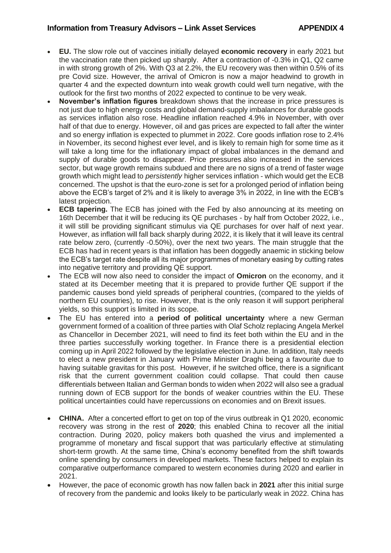- **EU.** The slow role out of vaccines initially delayed **economic recovery** in early 2021 but the vaccination rate then picked up sharply. After a contraction of -0.3% in Q1, Q2 came in with strong growth of 2%. With Q3 at 2.2%, the EU recovery was then within 0.5% of its pre Covid size. However, the arrival of Omicron is now a major headwind to growth in quarter 4 and the expected downturn into weak growth could well turn negative, with the outlook for the first two months of 2022 expected to continue to be very weak.
- **November's inflation figures** breakdown shows that the increase in price pressures is not just due to high energy costs and global demand-supply imbalances for durable goods as services inflation also rose. Headline inflation reached 4.9% in November, with over half of that due to energy. However, oil and gas prices are expected to fall after the winter and so energy inflation is expected to plummet in 2022. Core goods inflation rose to 2.4% in November, its second highest ever level, and is likely to remain high for some time as it will take a long time for the inflationary impact of global imbalances in the demand and supply of durable goods to disappear. Price pressures also increased in the services sector, but wage growth remains subdued and there are no signs of a trend of faster wage growth which might lead to *persistently* higher services inflation - which would get the ECB concerned. The upshot is that the euro-zone is set for a prolonged period of inflation being above the ECB's target of 2% and it is likely to average 3% in 2022, in line with the ECB's latest projection.
- **ECB tapering.** The ECB has joined with the Fed by also announcing at its meeting on 16th December that it will be reducing its QE purchases - by half from October 2022, i.e., it will still be providing significant stimulus via QE purchases for over half of next year. However, as inflation will fall back sharply during 2022, it is likely that it will leave its central rate below zero, (currently -0.50%), over the next two years. The main struggle that the ECB has had in recent years is that inflation has been doggedly anaemic in sticking below the ECB's target rate despite all its major programmes of monetary easing by cutting rates into negative territory and providing QE support.
- The ECB will now also need to consider the impact of **Omicron** on the economy, and it stated at its December meeting that it is prepared to provide further QE support if the pandemic causes bond yield spreads of peripheral countries, (compared to the yields of northern EU countries), to rise. However, that is the only reason it will support peripheral yields, so this support is limited in its scope.
- The EU has entered into a **period of political uncertainty** where a new German government formed of a coalition of three parties with Olaf Scholz replacing Angela Merkel as Chancellor in December 2021, will need to find its feet both within the EU and in the three parties successfully working together. In France there is a presidential election coming up in April 2022 followed by the legislative election in June. In addition, Italy needs to elect a new president in January with Prime Minister Draghi being a favourite due to having suitable gravitas for this post. However, if he switched office, there is a significant risk that the current government coalition could collapse. That could then cause differentials between Italian and German bonds to widen when 2022 will also see a gradual running down of ECB support for the bonds of weaker countries within the EU. These political uncertainties could have repercussions on economies and on Brexit issues.
- **CHINA.** After a concerted effort to get on top of the virus outbreak in Q1 2020, economic recovery was strong in the rest of **2020**; this enabled China to recover all the initial contraction. During 2020, policy makers both quashed the virus and implemented a programme of monetary and fiscal support that was particularly effective at stimulating short-term growth. At the same time, China's economy benefited from the shift towards online spending by consumers in developed markets. These factors helped to explain its comparative outperformance compared to western economies during 2020 and earlier in 2021.
- However, the pace of economic growth has now fallen back in **2021** after this initial surge of recovery from the pandemic and looks likely to be particularly weak in 2022. China has